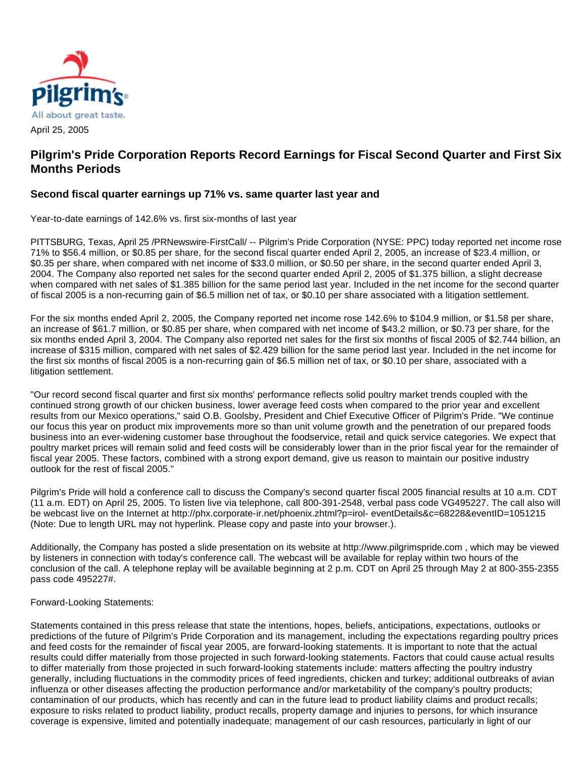

## **Pilgrim's Pride Corporation Reports Record Earnings for Fiscal Second Quarter and First Six Months Periods**

## **Second fiscal quarter earnings up 71% vs. same quarter last year and**

Year-to-date earnings of 142.6% vs. first six-months of last year

PITTSBURG, Texas, April 25 /PRNewswire-FirstCall/ -- Pilgrim's Pride Corporation (NYSE: PPC) today reported net income rose 71% to \$56.4 million, or \$0.85 per share, for the second fiscal quarter ended April 2, 2005, an increase of \$23.4 million, or \$0.35 per share, when compared with net income of \$33.0 million, or \$0.50 per share, in the second quarter ended April 3, 2004. The Company also reported net sales for the second quarter ended April 2, 2005 of \$1.375 billion, a slight decrease when compared with net sales of \$1.385 billion for the same period last year. Included in the net income for the second quarter of fiscal 2005 is a non-recurring gain of \$6.5 million net of tax, or \$0.10 per share associated with a litigation settlement.

For the six months ended April 2, 2005, the Company reported net income rose 142.6% to \$104.9 million, or \$1.58 per share, an increase of \$61.7 million, or \$0.85 per share, when compared with net income of \$43.2 million, or \$0.73 per share, for the six months ended April 3, 2004. The Company also reported net sales for the first six months of fiscal 2005 of \$2.744 billion, an increase of \$315 million, compared with net sales of \$2.429 billion for the same period last year. Included in the net income for the first six months of fiscal 2005 is a non-recurring gain of \$6.5 million net of tax, or \$0.10 per share, associated with a litigation settlement.

"Our record second fiscal quarter and first six months' performance reflects solid poultry market trends coupled with the continued strong growth of our chicken business, lower average feed costs when compared to the prior year and excellent results from our Mexico operations," said O.B. Goolsby, President and Chief Executive Officer of Pilgrim's Pride. "We continue our focus this year on product mix improvements more so than unit volume growth and the penetration of our prepared foods business into an ever-widening customer base throughout the foodservice, retail and quick service categories. We expect that poultry market prices will remain solid and feed costs will be considerably lower than in the prior fiscal year for the remainder of fiscal year 2005. These factors, combined with a strong export demand, give us reason to maintain our positive industry outlook for the rest of fiscal 2005."

Pilgrim's Pride will hold a conference call to discuss the Company's second quarter fiscal 2005 financial results at 10 a.m. CDT (11 a.m. EDT) on April 25, 2005. To listen live via telephone, call 800-391-2548, verbal pass code VG495227. The call also will be webcast live on the Internet at http://phx.corporate-ir.net/phoenix.zhtml?p=irol- eventDetails&c=68228&eventID=1051215 (Note: Due to length URL may not hyperlink. Please copy and paste into your browser.).

Additionally, the Company has posted a slide presentation on its website at http://www.pilgrimspride.com , which may be viewed by listeners in connection with today's conference call. The webcast will be available for replay within two hours of the conclusion of the call. A telephone replay will be available beginning at 2 p.m. CDT on April 25 through May 2 at 800-355-2355 pass code 495227#.

Forward-Looking Statements:

Statements contained in this press release that state the intentions, hopes, beliefs, anticipations, expectations, outlooks or predictions of the future of Pilgrim's Pride Corporation and its management, including the expectations regarding poultry prices and feed costs for the remainder of fiscal year 2005, are forward-looking statements. It is important to note that the actual results could differ materially from those projected in such forward-looking statements. Factors that could cause actual results to differ materially from those projected in such forward-looking statements include: matters affecting the poultry industry generally, including fluctuations in the commodity prices of feed ingredients, chicken and turkey; additional outbreaks of avian influenza or other diseases affecting the production performance and/or marketability of the company's poultry products; contamination of our products, which has recently and can in the future lead to product liability claims and product recalls; exposure to risks related to product liability, product recalls, property damage and injuries to persons, for which insurance coverage is expensive, limited and potentially inadequate; management of our cash resources, particularly in light of our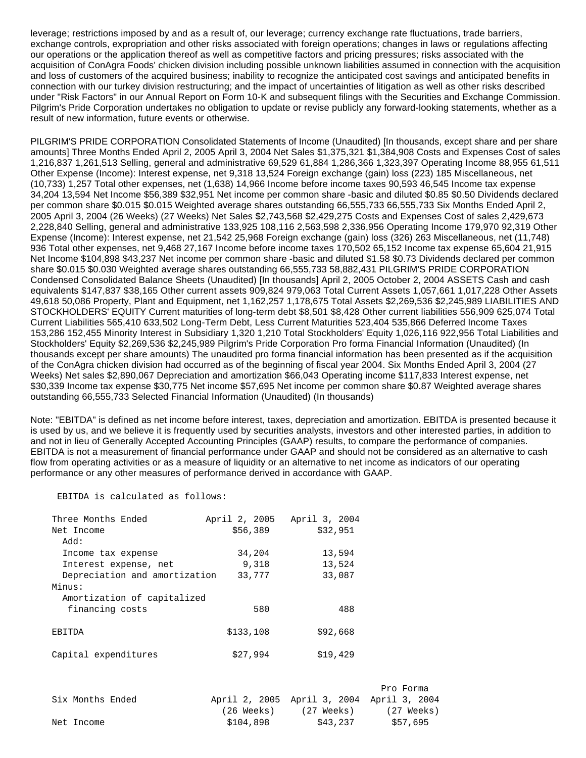leverage; restrictions imposed by and as a result of, our leverage; currency exchange rate fluctuations, trade barriers, exchange controls, expropriation and other risks associated with foreign operations; changes in laws or regulations affecting our operations or the application thereof as well as competitive factors and pricing pressures; risks associated with the acquisition of ConAgra Foods' chicken division including possible unknown liabilities assumed in connection with the acquisition and loss of customers of the acquired business; inability to recognize the anticipated cost savings and anticipated benefits in connection with our turkey division restructuring; and the impact of uncertainties of litigation as well as other risks described under "Risk Factors" in our Annual Report on Form 10-K and subsequent filings with the Securities and Exchange Commission. Pilgrim's Pride Corporation undertakes no obligation to update or revise publicly any forward-looking statements, whether as a result of new information, future events or otherwise.

PILGRIM'S PRIDE CORPORATION Consolidated Statements of Income (Unaudited) [In thousands, except share and per share amounts] Three Months Ended April 2, 2005 April 3, 2004 Net Sales \$1,375,321 \$1,384,908 Costs and Expenses Cost of sales 1,216,837 1,261,513 Selling, general and administrative 69,529 61,884 1,286,366 1,323,397 Operating Income 88,955 61,511 Other Expense (Income): Interest expense, net 9,318 13,524 Foreign exchange (gain) loss (223) 185 Miscellaneous, net (10,733) 1,257 Total other expenses, net (1,638) 14,966 Income before income taxes 90,593 46,545 Income tax expense 34,204 13,594 Net Income \$56,389 \$32,951 Net income per common share -basic and diluted \$0.85 \$0.50 Dividends declared per common share \$0.015 \$0.015 Weighted average shares outstanding 66,555,733 66,555,733 Six Months Ended April 2, 2005 April 3, 2004 (26 Weeks) (27 Weeks) Net Sales \$2,743,568 \$2,429,275 Costs and Expenses Cost of sales 2,429,673 2,228,840 Selling, general and administrative 133,925 108,116 2,563,598 2,336,956 Operating Income 179,970 92,319 Other Expense (Income): Interest expense, net 21,542 25,968 Foreign exchange (gain) loss (326) 263 Miscellaneous, net (11,748) 936 Total other expenses, net 9,468 27,167 Income before income taxes 170,502 65,152 Income tax expense 65,604 21,915 Net Income \$104,898 \$43,237 Net income per common share -basic and diluted \$1.58 \$0.73 Dividends declared per common share \$0.015 \$0.030 Weighted average shares outstanding 66,555,733 58,882,431 PILGRIM'S PRIDE CORPORATION Condensed Consolidated Balance Sheets (Unaudited) [In thousands] April 2, 2005 October 2, 2004 ASSETS Cash and cash equivalents \$147,837 \$38,165 Other current assets 909,824 979,063 Total Current Assets 1,057,661 1,017,228 Other Assets 49,618 50,086 Property, Plant and Equipment, net 1,162,257 1,178,675 Total Assets \$2,269,536 \$2,245,989 LIABILITIES AND STOCKHOLDERS' EQUITY Current maturities of long-term debt \$8,501 \$8,428 Other current liabilities 556,909 625,074 Total Current Liabilities 565,410 633,502 Long-Term Debt, Less Current Maturities 523,404 535,866 Deferred Income Taxes 153,286 152,455 Minority Interest in Subsidiary 1,320 1,210 Total Stockholders' Equity 1,026,116 922,956 Total Liabilities and Stockholders' Equity \$2,269,536 \$2,245,989 Pilgrim's Pride Corporation Pro forma Financial Information (Unaudited) (In thousands except per share amounts) The unaudited pro forma financial information has been presented as if the acquisition of the ConAgra chicken division had occurred as of the beginning of fiscal year 2004. Six Months Ended April 3, 2004 (27 Weeks) Net sales \$2,890,067 Depreciation and amortization \$66,043 Operating income \$117,833 Interest expense, net \$30,339 Income tax expense \$30,775 Net income \$57,695 Net income per common share \$0.87 Weighted average shares outstanding 66,555,733 Selected Financial Information (Unaudited) (In thousands)

Note: "EBITDA" is defined as net income before interest, taxes, depreciation and amortization. EBITDA is presented because it is used by us, and we believe it is frequently used by securities analysts, investors and other interested parties, in addition to and not in lieu of Generally Accepted Accounting Principles (GAAP) results, to compare the performance of companies. EBITDA is not a measurement of financial performance under GAAP and should not be considered as an alternative to cash flow from operating activities or as a measure of liquidity or an alternative to net income as indicators of our operating performance or any other measures of performance derived in accordance with GAAP.

## EBITDA is calculated as follows:

| Three Months Ended            | April 2, 2005 |           | April 3, 2004 |          |
|-------------------------------|---------------|-----------|---------------|----------|
| Net Income                    |               | \$56,389  |               | \$32,951 |
| : Add                         |               |           |               |          |
| Income tax expense            |               | 34,204    |               | 13,594   |
| Interest expense, net         |               | 9,318     |               | 13,524   |
| Depreciation and amortization |               | 33,777    |               | 33,087   |
| Minus:                        |               |           |               |          |
| Amortization of capitalized   |               |           |               |          |
| financing costs               |               | 580       |               | 488      |
| <b>EBITDA</b>                 |               | \$133,108 |               | \$92,668 |
| Capital expenditures          |               | \$27.994  |               | \$19,429 |

|                  |            |                                           | Pro Forma  |
|------------------|------------|-------------------------------------------|------------|
| Six Months Ended |            | April 2, 2005 April 3, 2004 April 3, 2004 |            |
|                  | (26 Weeks) | (27 Weeks)                                | (27 Weeks) |
| Net Income       | \$104,898  | \$43,237                                  | \$57,695   |